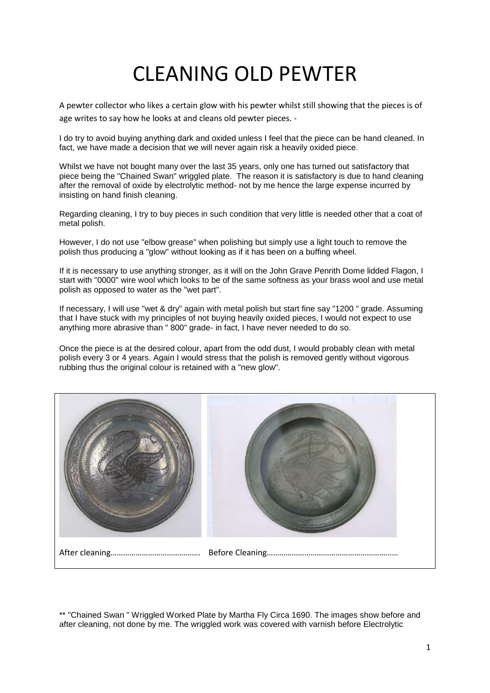## CLEANING OLD PEWTER

A pewter collector who likes a certain glow with his pewter whilst still showing that the pieces is of age writes to say how he looks at and cleans old pewter pieces. -

I do try to avoid buying anything dark and oxided unless I feel that the piece can be hand cleaned. In fact, we have made a decision that we will never again risk a heavily oxided piece.

Whilst we have not bought many over the last 35 years, only one has turned out satisfactory that piece being the "Chained Swan" wriggled plate. The reason it is satisfactory is due to hand cleaning after the removal of oxide by electrolytic method- not by me hence the large expense incurred by insisting on hand finish cleaning.

Regarding cleaning, I try to buy pieces in such condition that very little is needed other that a coat of metal polish.

However, I do not use "elbow grease" when polishing but simply use a light touch to remove the polish thus producing a "glow" without looking as if it has been on a buffing wheel.

If it is necessary to use anything stronger, as it will on the John Grave Penrith Dome lidded Flagon, I start with "0000" wire wool which looks to be of the same softness as your brass wool and use metal polish as opposed to water as the "wet part".

If necessary, I will use "wet & dry" again with metal polish but start fine say "1200 " grade. Assuming that I have stuck with my principles of not buying heavily oxided pieces, I would not expect to use anything more abrasive than " 800" grade- in fact, I have never needed to do so.

Once the piece is at the desired colour, apart from the odd dust, I would probably clean with metal polish every 3 or 4 years. Again I would stress that the polish is removed gently without vigorous rubbing thus the original colour is retained with a "new glow".



\*\* "Chained Swan " Wriggled Worked Plate by Martha Fly Circa 1690. The images show before and after cleaning, not done by me. The wriggled work was covered with varnish before Electrolytic